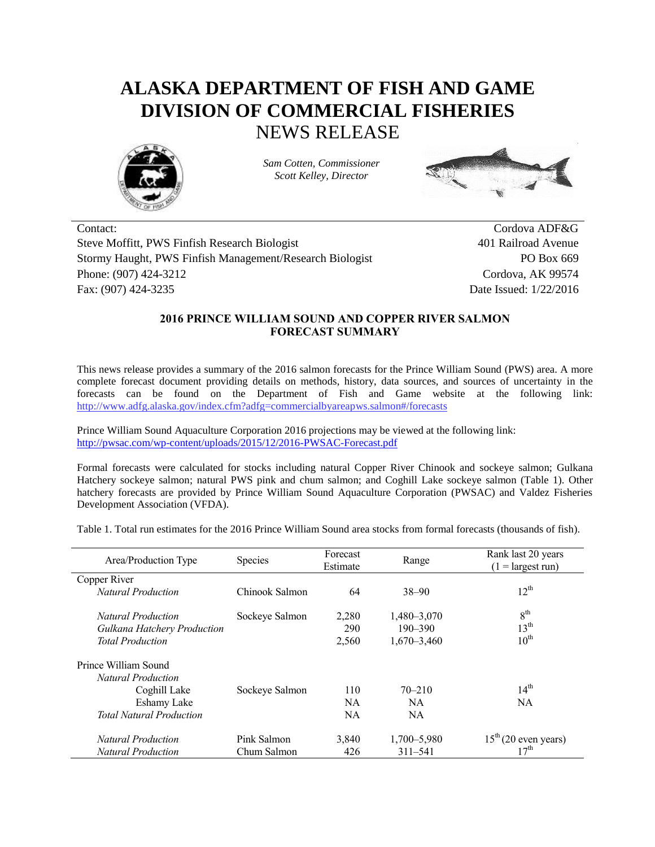## **ALASKA DEPARTMENT OF FISH AND GAME DIVISION OF COMMERCIAL FISHERIES** NEWS RELEASE



*Sam Cotten, Commissioner Scott Kelley, Director*



Contact: Cordova ADF&G Steve Moffitt, PWS Finfish Research Biologist 401 Railroad Avenue Stormy Haught, PWS Finfish Management/Research Biologist PO Box 669 Phone: (907) 424-3212 Cordova, AK 99574 Fax: (907) 424-3235 Date Issued: 1/22/2016

## **2016 PRINCE WILLIAM SOUND AND COPPER RIVER SALMON FORECAST SUMMARY**

This news release provides a summary of the 2016 salmon forecasts for the Prince William Sound (PWS) area. A more complete forecast document providing details on methods, history, data sources, and sources of uncertainty in the forecasts can be found on the Department of Fish and Game website at the following link: <http://www.adfg.alaska.gov/index.cfm?adfg=commercialbyareapws.salmon#/forecasts>

Prince William Sound Aquaculture Corporation 2016 projections may be viewed at the following link: <http://pwsac.com/wp-content/uploads/2015/12/2016-PWSAC-Forecast.pdf>

Formal forecasts were calculated for stocks including natural Copper River Chinook and sockeye salmon; Gulkana Hatchery sockeye salmon; natural PWS pink and chum salmon; and Coghill Lake sockeye salmon (Table 1). Other hatchery forecasts are provided by Prince William Sound Aquaculture Corporation (PWSAC) and Valdez Fisheries Development Association (VFDA).

Table 1. Total run estimates for the 2016 Prince William Sound area stocks from formal forecasts (thousands of fish).

| Area/Production Type               | <b>Species</b> | Forecast<br>Estimate | Range           | Rank last 20 years<br>$(1 = \text{largest run})$ |  |
|------------------------------------|----------------|----------------------|-----------------|--------------------------------------------------|--|
| Copper River                       |                |                      |                 |                                                  |  |
| <b>Natural Production</b>          | Chinook Salmon | 64                   | $38 - 90$       | $12^{th}$                                        |  |
| <i>Natural Production</i>          | Sockeye Salmon | 2,280                | 1,480 - 3,070   | 8 <sup>th</sup>                                  |  |
| <b>Gulkana Hatchery Production</b> |                | 290                  | $190 - 390$     | 13 <sup>th</sup>                                 |  |
| <b>Total Production</b>            |                | 2,560                | $1,670 - 3,460$ | $10^{\text{th}}$                                 |  |
| Prince William Sound               |                |                      |                 |                                                  |  |
| <i>Natural Production</i>          |                |                      |                 |                                                  |  |
| Coghill Lake                       | Sockeye Salmon | 110                  | $70 - 210$      | $14^{th}$                                        |  |
| Eshamy Lake                        |                | NA.                  | <b>NA</b>       | <b>NA</b>                                        |  |
| <b>Total Natural Production</b>    |                | NA                   | <b>NA</b>       |                                                  |  |
| <b>Natural Production</b>          | Pink Salmon    | 3,840                | 1,700 - 5,980   | $15th$ (20 even years)                           |  |
| <b>Natural Production</b>          | Chum Salmon    | 426                  | $311 - 541$     | $17^{\text{th}}$                                 |  |